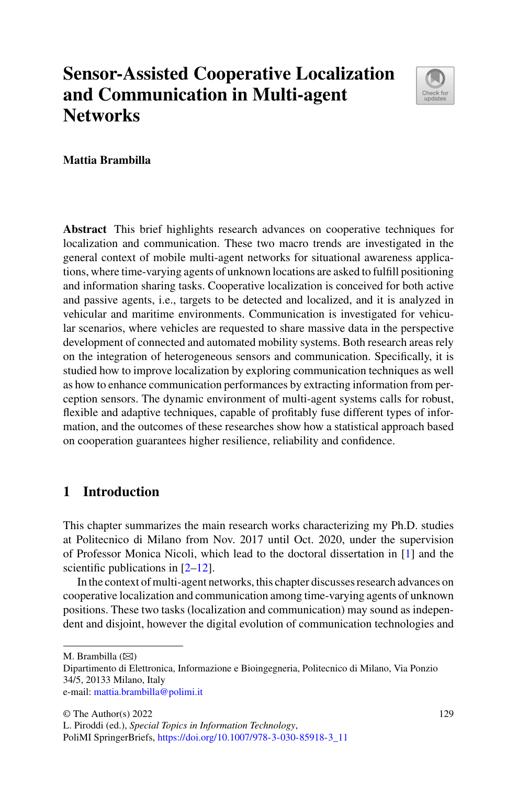# **Sensor-Assisted Cooperative Localization and Communication in Multi-agent Networks**



#### **Mattia Brambilla**

**Abstract** This brief highlights research advances on cooperative techniques for localization and communication. These two macro trends are investigated in the general context of mobile multi-agent networks for situational awareness applications, where time-varying agents of unknown locations are asked to fulfill positioning and information sharing tasks. Cooperative localization is conceived for both active and passive agents, i.e., targets to be detected and localized, and it is analyzed in vehicular and maritime environments. Communication is investigated for vehicular scenarios, where vehicles are requested to share massive data in the perspective development of connected and automated mobility systems. Both research areas rely on the integration of heterogeneous sensors and communication. Specifically, it is studied how to improve localization by exploring communication techniques as well as how to enhance communication performances by extracting information from perception sensors. The dynamic environment of multi-agent systems calls for robust, flexible and adaptive techniques, capable of profitably fuse different types of information, and the outcomes of these researches show how a statistical approach based on cooperation guarantees higher resilience, reliability and confidence.

## **1 Introduction**

This chapter summarizes the main research works characterizing my Ph.D. studies at Politecnico di Milano from Nov. 2017 until Oct. 2020, under the supervision of Professor Monica Nicoli, which lead to the doctoral dissertation in [\[1\]](#page-10-0) and the scientific publications in  $[2-12]$  $[2-12]$ .

In the context of multi-agent networks, this chapter discusses research advances on cooperative localization and communication among time-varying agents of unknown positions. These two tasks (localization and communication) may sound as independent and disjoint, however the digital evolution of communication technologies and

M. Brambilla  $(\boxtimes)$ 

Dipartimento di Elettronica, Informazione e Bioingegneria, Politecnico di Milano, Via Ponzio 34/5, 20133 Milano, Italy e-mail: [mattia.brambilla@polimi.it](mailto:mattia.brambilla@polimi.it)

<sup>©</sup> The Author(s) 2022

L. Piroddi (ed.), *Special Topics in Information Technology*,

PoliMI SpringerBriefs, [https://doi.org/10.1007/978-3-030-85918-3\\_11](https://doi.org/10.1007/978-3-030-85918-3_11)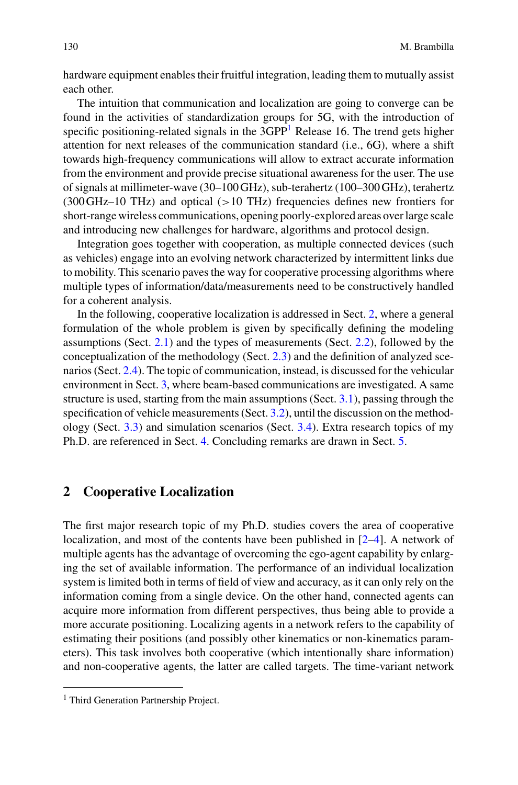hardware equipment enables their fruitful integration, leading them to mutually assist each other.

The intuition that communication and localization are going to converge can be found in the activities of standardization groups for 5G, with the introduction of specific positioning-related signals in the  $3GPP<sup>1</sup>$  $3GPP<sup>1</sup>$  $3GPP<sup>1</sup>$  Release 16. The trend gets higher attention for next releases of the communication standard (i.e., 6G), where a shift towards high-frequency communications will allow to extract accurate information from the environment and provide precise situational awareness for the user. The use of signals at millimeter-wave (30–100 GHz), sub-terahertz (100–300 GHz), terahertz (300 GHz–10 THz) and optical (*>*10 THz) frequencies defines new frontiers for short-range wireless communications, opening poorly-explored areas over large scale and introducing new challenges for hardware, algorithms and protocol design.

Integration goes together with cooperation, as multiple connected devices (such as vehicles) engage into an evolving network characterized by intermittent links due to mobility. This scenario paves the way for cooperative processing algorithms where multiple types of information/data/measurements need to be constructively handled for a coherent analysis.

In the following, cooperative localization is addressed in Sect. [2,](#page-1-1) where a general formulation of the whole problem is given by specifically defining the modeling assumptions (Sect. [2.1\)](#page-2-0) and the types of measurements (Sect. [2.2\)](#page-2-1), followed by the conceptualization of the methodology (Sect. [2.3\)](#page-3-0) and the definition of analyzed scenarios (Sect. [2.4\)](#page-5-0). The topic of communication, instead, is discussed for the vehicular environment in Sect. [3,](#page-6-0) where beam-based communications are investigated. A same structure is used, starting from the main assumptions (Sect.  $3.1$ ), passing through the specification of vehicle measurements (Sect. [3.2\)](#page-7-0), until the discussion on the methodology (Sect. [3.3\)](#page-8-0) and simulation scenarios (Sect. [3.4\)](#page-8-1). Extra research topics of my Ph.D. are referenced in Sect. [4.](#page-9-0) Concluding remarks are drawn in Sect. [5.](#page-9-1)

#### <span id="page-1-1"></span>**2 Cooperative Localization**

The first major research topic of my Ph.D. studies covers the area of cooperative localization, and most of the contents have been published in [\[2](#page-10-1)[–4](#page-10-3)]. A network of multiple agents has the advantage of overcoming the ego-agent capability by enlarging the set of available information. The performance of an individual localization system is limited both in terms of field of view and accuracy, as it can only rely on the information coming from a single device. On the other hand, connected agents can acquire more information from different perspectives, thus being able to provide a more accurate positioning. Localizing agents in a network refers to the capability of estimating their positions (and possibly other kinematics or non-kinematics parameters). This task involves both cooperative (which intentionally share information) and non-cooperative agents, the latter are called targets. The time-variant network

<span id="page-1-0"></span><sup>&</sup>lt;sup>1</sup> Third Generation Partnership Project.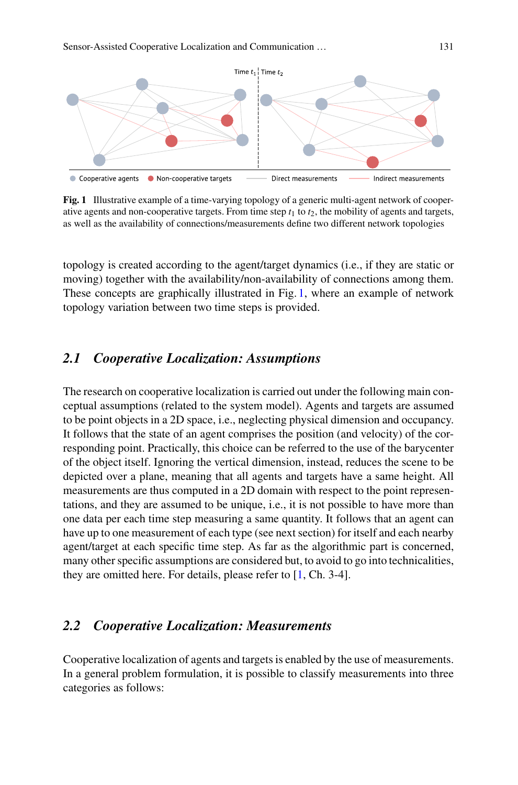

<span id="page-2-2"></span>**Fig. 1** Illustrative example of a time-varying topology of a generic multi-agent network of cooperative agents and non-cooperative targets. From time step *t*<sup>1</sup> to *t*2, the mobility of agents and targets, as well as the availability of connections/measurements define two different network topologies

topology is created according to the agent/target dynamics (i.e., if they are static or moving) together with the availability/non-availability of connections among them. These concepts are graphically illustrated in Fig. [1,](#page-2-2) where an example of network topology variation between two time steps is provided.

### <span id="page-2-0"></span>*2.1 Cooperative Localization: Assumptions*

The research on cooperative localization is carried out under the following main conceptual assumptions (related to the system model). Agents and targets are assumed to be point objects in a 2D space, i.e., neglecting physical dimension and occupancy. It follows that the state of an agent comprises the position (and velocity) of the corresponding point. Practically, this choice can be referred to the use of the barycenter of the object itself. Ignoring the vertical dimension, instead, reduces the scene to be depicted over a plane, meaning that all agents and targets have a same height. All measurements are thus computed in a 2D domain with respect to the point representations, and they are assumed to be unique, i.e., it is not possible to have more than one data per each time step measuring a same quantity. It follows that an agent can have up to one measurement of each type (see next section) for itself and each nearby agent/target at each specific time step. As far as the algorithmic part is concerned, many other specific assumptions are considered but, to avoid to go into technicalities, they are omitted here. For details, please refer to [\[1](#page-10-0), Ch. 3-4].

## <span id="page-2-1"></span>*2.2 Cooperative Localization: Measurements*

Cooperative localization of agents and targets is enabled by the use of measurements. In a general problem formulation, it is possible to classify measurements into three categories as follows: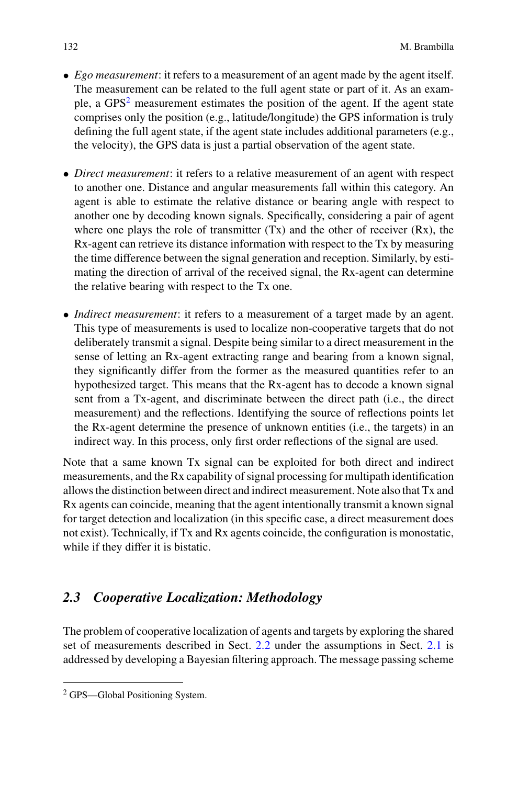- *Ego measurement*: it refers to a measurement of an agent made by the agent itself. The measurement can be related to the full agent state or part of it. As an example, a  $GPS<sup>2</sup>$  measurement estimates the position of the agent. If the agent state comprises only the position (e.g., latitude/longitude) the GPS information is truly defining the full agent state, if the agent state includes additional parameters (e.g., the velocity), the GPS data is just a partial observation of the agent state.
- *Direct measurement*: it refers to a relative measurement of an agent with respect to another one. Distance and angular measurements fall within this category. An agent is able to estimate the relative distance or bearing angle with respect to another one by decoding known signals. Specifically, considering a pair of agent where one plays the role of transmitter  $(Tx)$  and the other of receiver  $(Rx)$ , the Rx-agent can retrieve its distance information with respect to the Tx by measuring the time difference between the signal generation and reception. Similarly, by estimating the direction of arrival of the received signal, the Rx-agent can determine the relative bearing with respect to the Tx one.
- *Indirect measurement*: it refers to a measurement of a target made by an agent. This type of measurements is used to localize non-cooperative targets that do not deliberately transmit a signal. Despite being similar to a direct measurement in the sense of letting an Rx-agent extracting range and bearing from a known signal, they significantly differ from the former as the measured quantities refer to an hypothesized target. This means that the Rx-agent has to decode a known signal sent from a Tx-agent, and discriminate between the direct path (i.e., the direct measurement) and the reflections. Identifying the source of reflections points let the Rx-agent determine the presence of unknown entities (i.e., the targets) in an indirect way. In this process, only first order reflections of the signal are used.

Note that a same known Tx signal can be exploited for both direct and indirect measurements, and the Rx capability of signal processing for multipath identification allows the distinction between direct and indirect measurement. Note also that Tx and Rx agents can coincide, meaning that the agent intentionally transmit a known signal for target detection and localization (in this specific case, a direct measurement does not exist). Technically, if Tx and Rx agents coincide, the configuration is monostatic, while if they differ it is bistatic.

## <span id="page-3-0"></span>*2.3 Cooperative Localization: Methodology*

The problem of cooperative localization of agents and targets by exploring the shared set of measurements described in Sect. [2.2](#page-2-1) under the assumptions in Sect. [2.1](#page-2-0) is addressed by developing a Bayesian filtering approach. The message passing scheme

<span id="page-3-1"></span><sup>2</sup> GPS—Global Positioning System.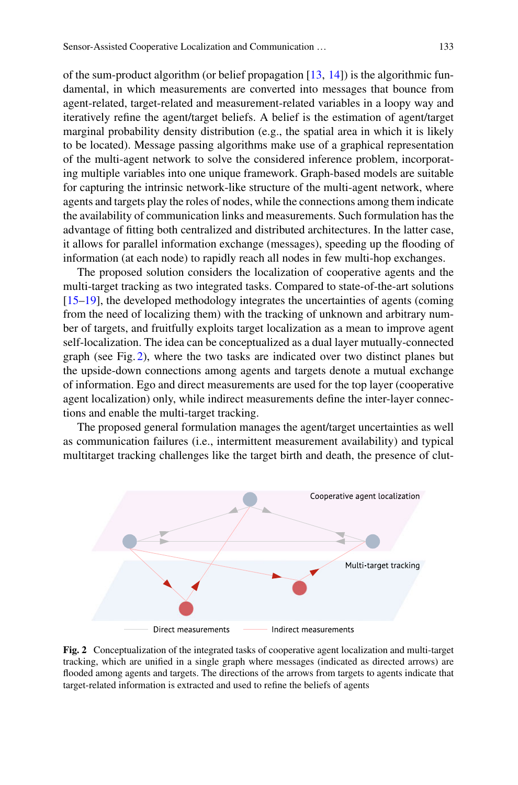of the sum-product algorithm (or belief propagation  $[13, 14]$  $[13, 14]$  $[13, 14]$ ) is the algorithmic fundamental, in which measurements are converted into messages that bounce from agent-related, target-related and measurement-related variables in a loopy way and iteratively refine the agent/target beliefs. A belief is the estimation of agent/target marginal probability density distribution (e.g., the spatial area in which it is likely to be located). Message passing algorithms make use of a graphical representation of the multi-agent network to solve the considered inference problem, incorporating multiple variables into one unique framework. Graph-based models are suitable for capturing the intrinsic network-like structure of the multi-agent network, where agents and targets play the roles of nodes, while the connections among them indicate the availability of communication links and measurements. Such formulation has the advantage of fitting both centralized and distributed architectures. In the latter case, it allows for parallel information exchange (messages), speeding up the flooding of information (at each node) to rapidly reach all nodes in few multi-hop exchanges.

The proposed solution considers the localization of cooperative agents and the multi-target tracking as two integrated tasks. Compared to state-of-the-art solutions [\[15](#page-10-6)[–19\]](#page-11-0), the developed methodology integrates the uncertainties of agents (coming from the need of localizing them) with the tracking of unknown and arbitrary number of targets, and fruitfully exploits target localization as a mean to improve agent self-localization. The idea can be conceptualized as a dual layer mutually-connected graph (see Fig. [2\)](#page-4-0), where the two tasks are indicated over two distinct planes but the upside-down connections among agents and targets denote a mutual exchange of information. Ego and direct measurements are used for the top layer (cooperative agent localization) only, while indirect measurements define the inter-layer connections and enable the multi-target tracking.

The proposed general formulation manages the agent/target uncertainties as well as communication failures (i.e., intermittent measurement availability) and typical multitarget tracking challenges like the target birth and death, the presence of clut-



<span id="page-4-0"></span>**Fig. 2** Conceptualization of the integrated tasks of cooperative agent localization and multi-target tracking, which are unified in a single graph where messages (indicated as directed arrows) are flooded among agents and targets. The directions of the arrows from targets to agents indicate that target-related information is extracted and used to refine the beliefs of agents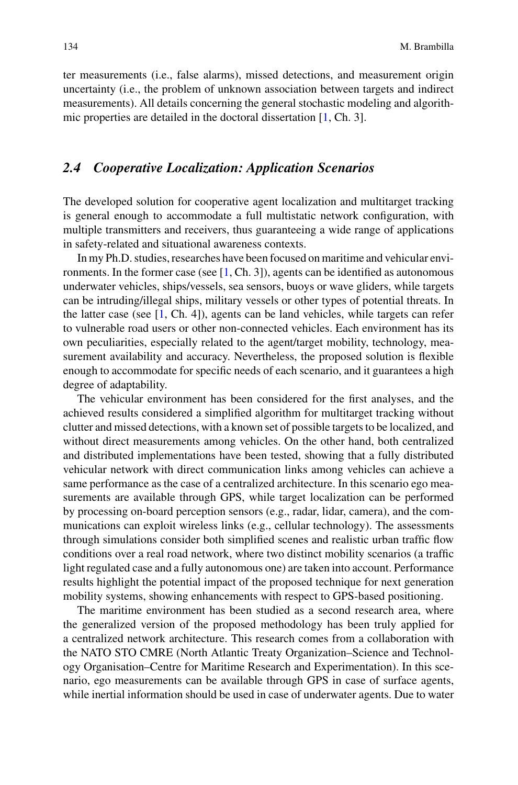ter measurements (i.e., false alarms), missed detections, and measurement origin uncertainty (i.e., the problem of unknown association between targets and indirect measurements). All details concerning the general stochastic modeling and algorithmic properties are detailed in the doctoral dissertation [\[1,](#page-10-0) Ch. 3].

#### <span id="page-5-0"></span>*2.4 Cooperative Localization: Application Scenarios*

The developed solution for cooperative agent localization and multitarget tracking is general enough to accommodate a full multistatic network configuration, with multiple transmitters and receivers, thus guaranteeing a wide range of applications in safety-related and situational awareness contexts.

In my Ph.D. studies, researches have been focused on maritime and vehicular environments. In the former case (see  $[1, Ch. 3]$  $[1, Ch. 3]$ ), agents can be identified as autonomous underwater vehicles, ships/vessels, sea sensors, buoys or wave gliders, while targets can be intruding/illegal ships, military vessels or other types of potential threats. In the latter case (see  $[1, Ch. 4]$  $[1, Ch. 4]$ ), agents can be land vehicles, while targets can refer to vulnerable road users or other non-connected vehicles. Each environment has its own peculiarities, especially related to the agent/target mobility, technology, measurement availability and accuracy. Nevertheless, the proposed solution is flexible enough to accommodate for specific needs of each scenario, and it guarantees a high degree of adaptability.

The vehicular environment has been considered for the first analyses, and the achieved results considered a simplified algorithm for multitarget tracking without clutter and missed detections, with a known set of possible targets to be localized, and without direct measurements among vehicles. On the other hand, both centralized and distributed implementations have been tested, showing that a fully distributed vehicular network with direct communication links among vehicles can achieve a same performance as the case of a centralized architecture. In this scenario ego measurements are available through GPS, while target localization can be performed by processing on-board perception sensors (e.g., radar, lidar, camera), and the communications can exploit wireless links (e.g., cellular technology). The assessments through simulations consider both simplified scenes and realistic urban traffic flow conditions over a real road network, where two distinct mobility scenarios (a traffic light regulated case and a fully autonomous one) are taken into account. Performance results highlight the potential impact of the proposed technique for next generation mobility systems, showing enhancements with respect to GPS-based positioning.

The maritime environment has been studied as a second research area, where the generalized version of the proposed methodology has been truly applied for a centralized network architecture. This research comes from a collaboration with the NATO STO CMRE (North Atlantic Treaty Organization–Science and Technology Organisation–Centre for Maritime Research and Experimentation). In this scenario, ego measurements can be available through GPS in case of surface agents, while inertial information should be used in case of underwater agents. Due to water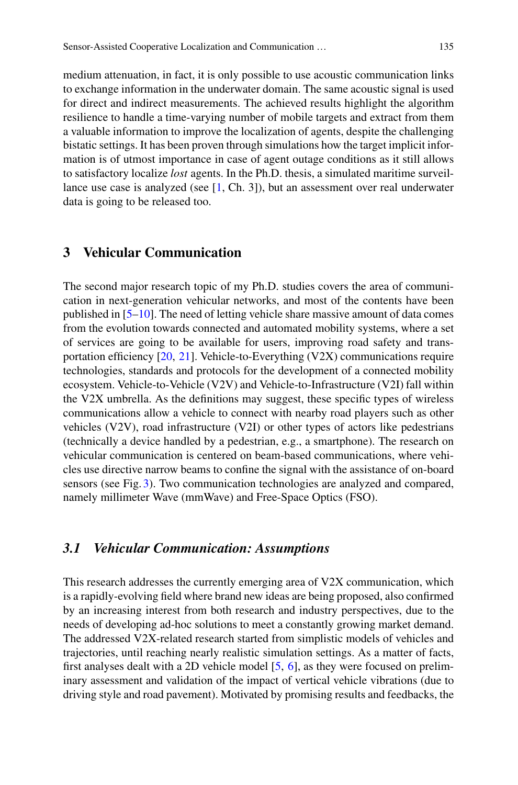medium attenuation, in fact, it is only possible to use acoustic communication links to exchange information in the underwater domain. The same acoustic signal is used for direct and indirect measurements. The achieved results highlight the algorithm resilience to handle a time-varying number of mobile targets and extract from them a valuable information to improve the localization of agents, despite the challenging bistatic settings. It has been proven through simulations how the target implicit information is of utmost importance in case of agent outage conditions as it still allows to satisfactory localize *lost* agents. In the Ph.D. thesis, a simulated maritime surveillance use case is analyzed (see [\[1](#page-10-0), Ch. 3]), but an assessment over real underwater data is going to be released too.

#### <span id="page-6-0"></span>**3 Vehicular Communication**

The second major research topic of my Ph.D. studies covers the area of communication in next-generation vehicular networks, and most of the contents have been published in [\[5](#page-10-7)[–10](#page-10-8)]. The need of letting vehicle share massive amount of data comes from the evolution towards connected and automated mobility systems, where a set of services are going to be available for users, improving road safety and transportation efficiency [\[20](#page-11-1), [21\]](#page-11-2). Vehicle-to-Everything (V2X) communications require technologies, standards and protocols for the development of a connected mobility ecosystem. Vehicle-to-Vehicle (V2V) and Vehicle-to-Infrastructure (V2I) fall within the V2X umbrella. As the definitions may suggest, these specific types of wireless communications allow a vehicle to connect with nearby road players such as other vehicles (V2V), road infrastructure (V2I) or other types of actors like pedestrians (technically a device handled by a pedestrian, e.g., a smartphone). The research on vehicular communication is centered on beam-based communications, where vehicles use directive narrow beams to confine the signal with the assistance of on-board sensors (see Fig. [3\)](#page-7-1). Two communication technologies are analyzed and compared, namely millimeter Wave (mmWave) and Free-Space Optics (FSO).

#### <span id="page-6-1"></span>*3.1 Vehicular Communication: Assumptions*

This research addresses the currently emerging area of V2X communication, which is a rapidly-evolving field where brand new ideas are being proposed, also confirmed by an increasing interest from both research and industry perspectives, due to the needs of developing ad-hoc solutions to meet a constantly growing market demand. The addressed V2X-related research started from simplistic models of vehicles and trajectories, until reaching nearly realistic simulation settings. As a matter of facts, first analyses dealt with a 2D vehicle model [\[5,](#page-10-7) [6](#page-10-9)], as they were focused on preliminary assessment and validation of the impact of vertical vehicle vibrations (due to driving style and road pavement). Motivated by promising results and feedbacks, the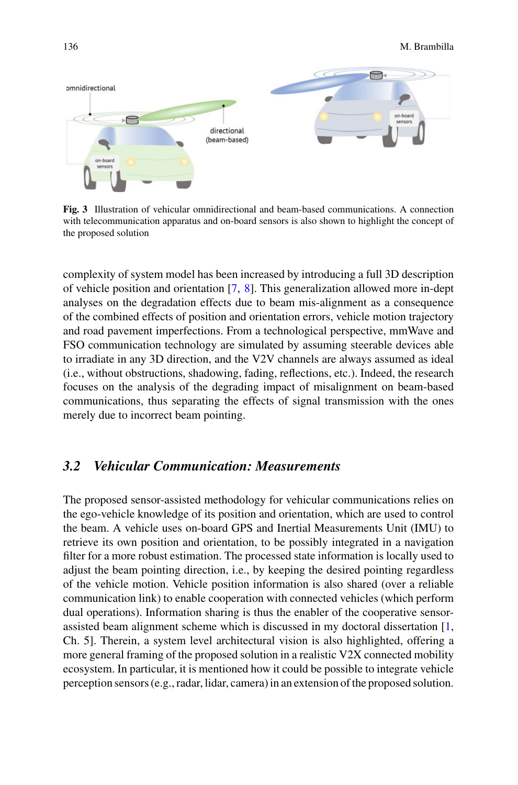

<span id="page-7-1"></span>**Fig. 3** Illustration of vehicular omnidirectional and beam-based communications. A connection with telecommunication apparatus and on-board sensors is also shown to highlight the concept of the proposed solution

complexity of system model has been increased by introducing a full 3D description of vehicle position and orientation [\[7](#page-10-10), [8](#page-10-11)]. This generalization allowed more in-dept analyses on the degradation effects due to beam mis-alignment as a consequence of the combined effects of position and orientation errors, vehicle motion trajectory and road pavement imperfections. From a technological perspective, mmWave and FSO communication technology are simulated by assuming steerable devices able to irradiate in any 3D direction, and the V2V channels are always assumed as ideal (i.e., without obstructions, shadowing, fading, reflections, etc.). Indeed, the research focuses on the analysis of the degrading impact of misalignment on beam-based communications, thus separating the effects of signal transmission with the ones merely due to incorrect beam pointing.

## <span id="page-7-0"></span>*3.2 Vehicular Communication: Measurements*

The proposed sensor-assisted methodology for vehicular communications relies on the ego-vehicle knowledge of its position and orientation, which are used to control the beam. A vehicle uses on-board GPS and Inertial Measurements Unit (IMU) to retrieve its own position and orientation, to be possibly integrated in a navigation filter for a more robust estimation. The processed state information is locally used to adjust the beam pointing direction, i.e., by keeping the desired pointing regardless of the vehicle motion. Vehicle position information is also shared (over a reliable communication link) to enable cooperation with connected vehicles (which perform dual operations). Information sharing is thus the enabler of the cooperative sensorassisted beam alignment scheme which is discussed in my doctoral dissertation [\[1,](#page-10-0) Ch. 5]. Therein, a system level architectural vision is also highlighted, offering a more general framing of the proposed solution in a realistic V2X connected mobility ecosystem. In particular, it is mentioned how it could be possible to integrate vehicle perception sensors (e.g., radar, lidar, camera) in an extension of the proposed solution.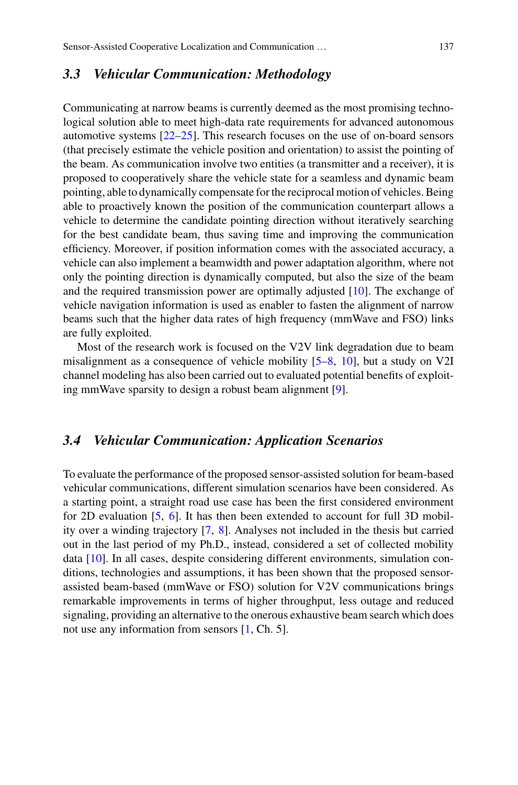#### <span id="page-8-0"></span>*3.3 Vehicular Communication: Methodology*

Communicating at narrow beams is currently deemed as the most promising technological solution able to meet high-data rate requirements for advanced autonomous automotive systems [\[22](#page-11-3)[–25\]](#page-11-4). This research focuses on the use of on-board sensors (that precisely estimate the vehicle position and orientation) to assist the pointing of the beam. As communication involve two entities (a transmitter and a receiver), it is proposed to cooperatively share the vehicle state for a seamless and dynamic beam pointing, able to dynamically compensate for the reciprocal motion of vehicles. Being able to proactively known the position of the communication counterpart allows a vehicle to determine the candidate pointing direction without iteratively searching for the best candidate beam, thus saving time and improving the communication efficiency. Moreover, if position information comes with the associated accuracy, a vehicle can also implement a beamwidth and power adaptation algorithm, where not only the pointing direction is dynamically computed, but also the size of the beam and the required transmission power are optimally adjusted [\[10](#page-10-8)]. The exchange of vehicle navigation information is used as enabler to fasten the alignment of narrow beams such that the higher data rates of high frequency (mmWave and FSO) links are fully exploited.

Most of the research work is focused on the V2V link degradation due to beam misalignment as a consequence of vehicle mobility [\[5](#page-10-7)[–8,](#page-10-11) [10](#page-10-8)], but a study on V2I channel modeling has also been carried out to evaluated potential benefits of exploiting mmWave sparsity to design a robust beam alignment [\[9\]](#page-10-12).

### <span id="page-8-1"></span>*3.4 Vehicular Communication: Application Scenarios*

To evaluate the performance of the proposed sensor-assisted solution for beam-based vehicular communications, different simulation scenarios have been considered. As a starting point, a straight road use case has been the first considered environment for 2D evaluation [\[5,](#page-10-7) [6](#page-10-9)]. It has then been extended to account for full 3D mobility over a winding trajectory [\[7](#page-10-10), [8](#page-10-11)]. Analyses not included in the thesis but carried out in the last period of my Ph.D., instead, considered a set of collected mobility data [\[10](#page-10-8)]. In all cases, despite considering different environments, simulation conditions, technologies and assumptions, it has been shown that the proposed sensorassisted beam-based (mmWave or FSO) solution for V2V communications brings remarkable improvements in terms of higher throughput, less outage and reduced signaling, providing an alternative to the onerous exhaustive beam search which does not use any information from sensors [\[1,](#page-10-0) Ch. 5].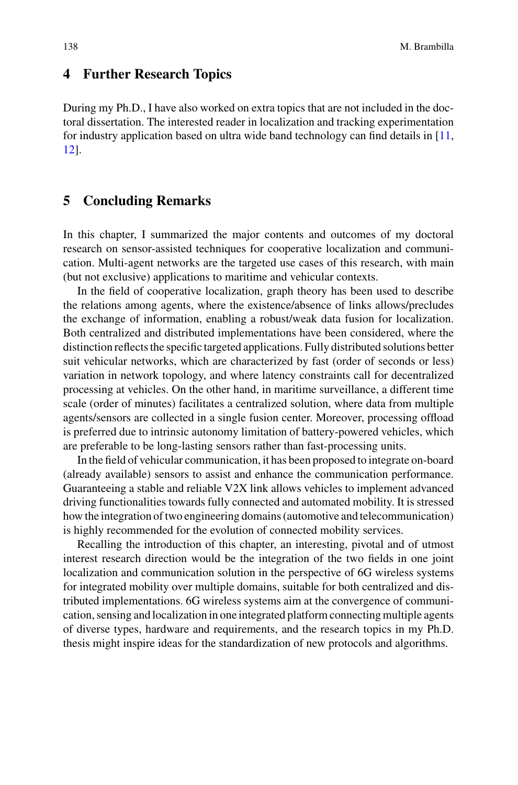#### <span id="page-9-0"></span>**4 Further Research Topics**

During my Ph.D., I have also worked on extra topics that are not included in the doctoral dissertation. The interested reader in localization and tracking experimentation for industry application based on ultra wide band technology can find details in [\[11,](#page-10-13) [12\]](#page-10-2).

### <span id="page-9-1"></span>**5 Concluding Remarks**

In this chapter, I summarized the major contents and outcomes of my doctoral research on sensor-assisted techniques for cooperative localization and communication. Multi-agent networks are the targeted use cases of this research, with main (but not exclusive) applications to maritime and vehicular contexts.

In the field of cooperative localization, graph theory has been used to describe the relations among agents, where the existence/absence of links allows/precludes the exchange of information, enabling a robust/weak data fusion for localization. Both centralized and distributed implementations have been considered, where the distinction reflects the specific targeted applications. Fully distributed solutions better suit vehicular networks, which are characterized by fast (order of seconds or less) variation in network topology, and where latency constraints call for decentralized processing at vehicles. On the other hand, in maritime surveillance, a different time scale (order of minutes) facilitates a centralized solution, where data from multiple agents/sensors are collected in a single fusion center. Moreover, processing offload is preferred due to intrinsic autonomy limitation of battery-powered vehicles, which are preferable to be long-lasting sensors rather than fast-processing units.

In the field of vehicular communication, it has been proposed to integrate on-board (already available) sensors to assist and enhance the communication performance. Guaranteeing a stable and reliable V2X link allows vehicles to implement advanced driving functionalities towards fully connected and automated mobility. It is stressed how the integration of two engineering domains (automotive and telecommunication) is highly recommended for the evolution of connected mobility services.

Recalling the introduction of this chapter, an interesting, pivotal and of utmost interest research direction would be the integration of the two fields in one joint localization and communication solution in the perspective of 6G wireless systems for integrated mobility over multiple domains, suitable for both centralized and distributed implementations. 6G wireless systems aim at the convergence of communication, sensing and localization in one integrated platform connecting multiple agents of diverse types, hardware and requirements, and the research topics in my Ph.D. thesis might inspire ideas for the standardization of new protocols and algorithms.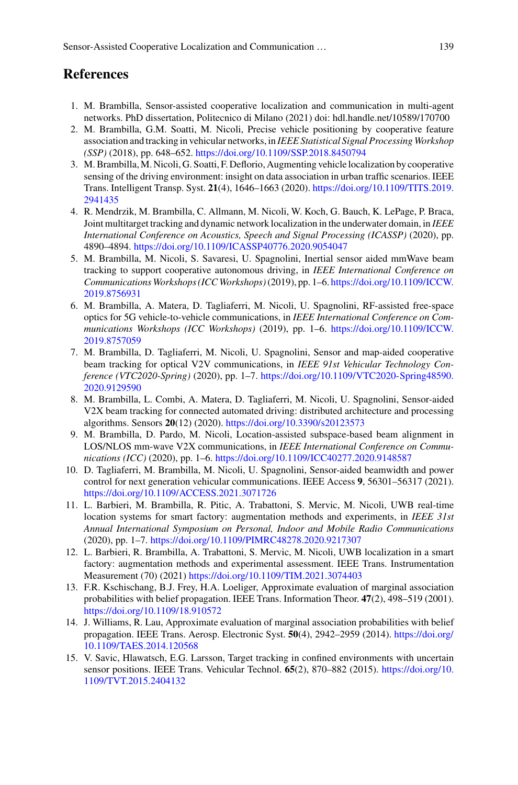## **References**

- <span id="page-10-0"></span>1. M. Brambilla, Sensor-assisted cooperative localization and communication in multi-agent networks. PhD dissertation, Politecnico di Milano (2021) doi: hdl.handle.net/10589/170700
- <span id="page-10-1"></span>2. M. Brambilla, G.M. Soatti, M. Nicoli, Precise vehicle positioning by cooperative feature association and tracking in vehicular networks, in *IEEE Statistical Signal Processing Workshop (SSP)* (2018), pp. 648–652. <https://doi.org/10.1109/SSP.2018.8450794>
- 3. M. Brambilla,M. Nicoli, G. Soatti, F. Deflorio, Augmenting vehicle localization by cooperative sensing of the driving environment: insight on data association in urban traffic scenarios. IEEE Trans. Intelligent Transp. Syst. **21**(4), 1646–1663 (2020). [https://doi.org/10.1109/TITS.2019.](https://doi.org/10.1109/TITS.2019.2941435) [2941435](https://doi.org/10.1109/TITS.2019.2941435)
- <span id="page-10-3"></span>4. R. Mendrzik, M. Brambilla, C. Allmann, M. Nicoli, W. Koch, G. Bauch, K. LePage, P. Braca, Joint multitarget tracking and dynamic network localization in the underwater domain, in *IEEE International Conference on Acoustics, Speech and Signal Processing (ICASSP)* (2020), pp. 4890–4894. <https://doi.org/10.1109/ICASSP40776.2020.9054047>
- <span id="page-10-7"></span>5. M. Brambilla, M. Nicoli, S. Savaresi, U. Spagnolini, Inertial sensor aided mmWave beam tracking to support cooperative autonomous driving, in *IEEE International Conference on Communications Workshops (ICC Workshops)*(2019), pp. 1–6. [https://doi.org/10.1109/ICCW.](https://doi.org/10.1109/ICCW.2019.8756931) [2019.8756931](https://doi.org/10.1109/ICCW.2019.8756931)
- <span id="page-10-9"></span>6. M. Brambilla, A. Matera, D. Tagliaferri, M. Nicoli, U. Spagnolini, RF-assisted free-space optics for 5G vehicle-to-vehicle communications, in *IEEE International Conference on Communications Workshops (ICC Workshops)* (2019), pp. 1–6. [https://doi.org/10.1109/ICCW.](https://doi.org/10.1109/ICCW.2019.8757059) [2019.8757059](https://doi.org/10.1109/ICCW.2019.8757059)
- <span id="page-10-10"></span>7. M. Brambilla, D. Tagliaferri, M. Nicoli, U. Spagnolini, Sensor and map-aided cooperative beam tracking for optical V2V communications, in *IEEE 91st Vehicular Technology Conference (VTC2020-Spring)* (2020), pp. 1–7. [https://doi.org/10.1109/VTC2020-Spring48590.](https://doi.org/10.1109/VTC2020-Spring48590.2020.9129590) [2020.9129590](https://doi.org/10.1109/VTC2020-Spring48590.2020.9129590)
- <span id="page-10-11"></span>8. M. Brambilla, L. Combi, A. Matera, D. Tagliaferri, M. Nicoli, U. Spagnolini, Sensor-aided V2X beam tracking for connected automated driving: distributed architecture and processing algorithms. Sensors **20**(12) (2020). <https://doi.org/10.3390/s20123573>
- <span id="page-10-12"></span>9. M. Brambilla, D. Pardo, M. Nicoli, Location-assisted subspace-based beam alignment in LOS/NLOS mm-wave V2X communications, in *IEEE International Conference on Communications (ICC)* (2020), pp. 1–6. <https://doi.org/10.1109/ICC40277.2020.9148587>
- <span id="page-10-8"></span>10. D. Tagliaferri, M. Brambilla, M. Nicoli, U. Spagnolini, Sensor-aided beamwidth and power control for next generation vehicular communications. IEEE Access **9**, 56301–56317 (2021). <https://doi.org/10.1109/ACCESS.2021.3071726>
- <span id="page-10-13"></span>11. L. Barbieri, M. Brambilla, R. Pitic, A. Trabattoni, S. Mervic, M. Nicoli, UWB real-time location systems for smart factory: augmentation methods and experiments, in *IEEE 31st Annual International Symposium on Personal, Indoor and Mobile Radio Communications* (2020), pp. 1–7. <https://doi.org/10.1109/PIMRC48278.2020.9217307>
- <span id="page-10-2"></span>12. L. Barbieri, R. Brambilla, A. Trabattoni, S. Mervic, M. Nicoli, UWB localization in a smart factory: augmentation methods and experimental assessment. IEEE Trans. Instrumentation Measurement (70) (2021) <https://doi.org/10.1109/TIM.2021.3074403>
- <span id="page-10-4"></span>13. F.R. Kschischang, B.J. Frey, H.A. Loeliger, Approximate evaluation of marginal association probabilities with belief propagation. IEEE Trans. Information Theor. **47**(2), 498–519 (2001). <https://doi.org/10.1109/18.910572>
- <span id="page-10-5"></span>14. J. Williams, R. Lau, Approximate evaluation of marginal association probabilities with belief propagation. IEEE Trans. Aerosp. Electronic Syst. **50**(4), 2942–2959 (2014). [https://doi.org/](https://doi.org/10.1109/TAES.2014.120568) [10.1109/TAES.2014.120568](https://doi.org/10.1109/TAES.2014.120568)
- <span id="page-10-6"></span>15. V. Savic, Hlawatsch, E.G. Larsson, Target tracking in confined environments with uncertain sensor positions. IEEE Trans. Vehicular Technol. **65**(2), 870–882 (2015). [https://doi.org/10.](https://doi.org/10.1109/TVT.2015.2404132) [1109/TVT.2015.2404132](https://doi.org/10.1109/TVT.2015.2404132)